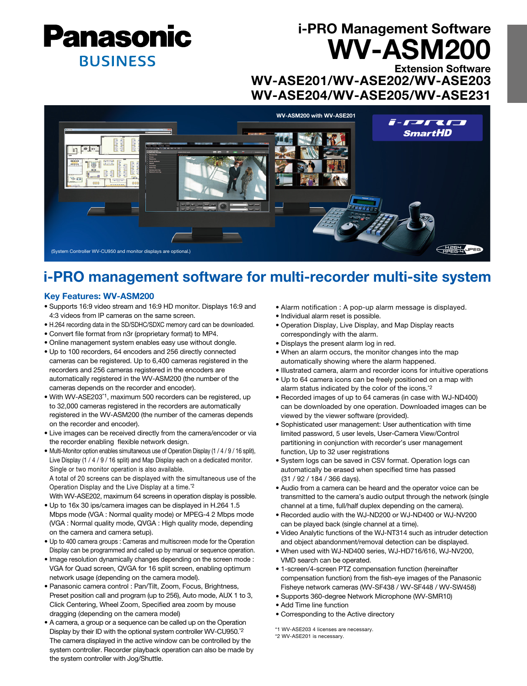

# i-PRO Management Software WV-ASM200

Extension Software WV-ASE201/WV-ASE202/WV-ASE203 WV-ASE204/WV-ASE205/WV-ASE231



## i-PRO management software for multi-recorder multi-site system

#### Key Features: WV-ASM200

- Supports 16:9 video stream and 16:9 HD monitor. Displays 16:9 and 4:3 videos from IP cameras on the same screen.
- H.264 recording data in the SD/SDHC/SDXC memory card can be downloaded.
- Convert file format from n3r (proprietary format) to MP4.
- Online management system enables easy use without dongle.
- Up to 100 recorders, 64 encoders and 256 directly connected cameras can be registered. Up to 6,400 cameras registered in the recorders and 256 cameras registered in the encoders are automatically registered in the WV-ASM200 (the number of the cameras depends on the recorder and encoder).
- With WV-ASE203\*1, maximum 500 recorders can be registered, up to 32,000 cameras registered in the recorders are automatically registered in the WV-ASM200 (the number of the cameras depends on the recorder and encoder).
- Live images can be received directly from the camera/encoder or via the recorder enabling flexible network design.
- Multi-Monitor option enables simultaneous use of Operation Display (1 / 4 / 9 / 16 split), Live Display (1 / 4 / 9 / 16 split) and Map Display each on a dedicated monitor. Single or two monitor operation is also available.

 A total of 20 screens can be displayed with the simultaneous use of the Operation Display and the Live Display at a time.\*2

With WV-ASE202, maximum 64 screens in operation display is possible.

- Up to 16x 30 ips/camera images can be displayed in H.264 1.5 Mbps mode (VGA : Normal quality mode) or MPEG-4 2 Mbps mode (VGA : Normal quality mode, QVGA : High quality mode, depending on the camera and camera setup).
- Up to 400 camera groups : Cameras and multiscreen mode for the Operation Display can be programmed and called up by manual or sequence operation.
- Image resolution dynamically changes depending on the screen mode : VGA for Quad screen, QVGA for 16 split screen, enabling optimum network usage (depending on the camera model).
- Panasonic camera control : Pan/Tilt, Zoom, Focus, Brightness, Preset position call and program (up to 256), Auto mode, AUX 1 to 3, Click Centering, Wheel Zoom, Specified area zoom by mouse dragging (depending on the camera model)
- A camera, a group or a sequence can be called up on the Operation Display by their ID with the optional system controller WV-CU950.\*2 The camera displayed in the active window can be controlled by the system controller. Recorder playback operation can also be made by the system controller with Jog/Shuttle.
- Alarm notification : A pop-up alarm message is displayed.
- Individual alarm reset is possible.
- Operation Display, Live Display, and Map Display reacts correspondingly with the alarm.
- Displays the present alarm log in red.
- When an alarm occurs, the monitor changes into the map automatically showing where the alarm happened.
- Illustrated camera, alarm and recorder icons for intuitive operations
- Up to 64 camera icons can be freely positioned on a map with alarm status indicated by the color of the icons.\*2
- Recorded images of up to 64 cameras (in case with WJ-ND400) can be downloaded by one operation. Downloaded images can be viewed by the viewer software (provided).
- Sophisticated user management: User authentication with time limited password, 5 user levels, User-Camera View/Control partitioning in conjunction with recorder's user management function, Up to 32 user registrations
- System logs can be saved in CSV format. Operation logs can automatically be erased when specified time has passed (31 / 92 / 184 / 366 days).
- Audio from a camera can be heard and the operator voice can be transmitted to the camera's audio output through the network (single channel at a time, full/half duplex depending on the camera).
- Recorded audio with the WJ-ND200 or WJ-ND400 or WJ-NV200 can be played back (single channel at a time).
- Video Analytic functions of the WJ-NT314 such as intruder detection and object abandonment/removal detection can be displayed.
- When used with WJ-ND400 series, WJ-HD716/616, WJ-NV200, VMD search can be operated.
- 1-screen/4-screen PTZ compensation function (hereinafter compensation function) from the fish-eye images of the Panasonic Fisheye network cameras (WV-SF438 / WV-SF448 / WV-SW458)
- Supports 360-degree Network Microphone (WV-SMR10)
- Add Time line function
- Corresponding to the Active directory
- \*1 WV-ASE203 4 licenses are necessary.

<sup>\*2</sup> WV-ASE201 is necessary.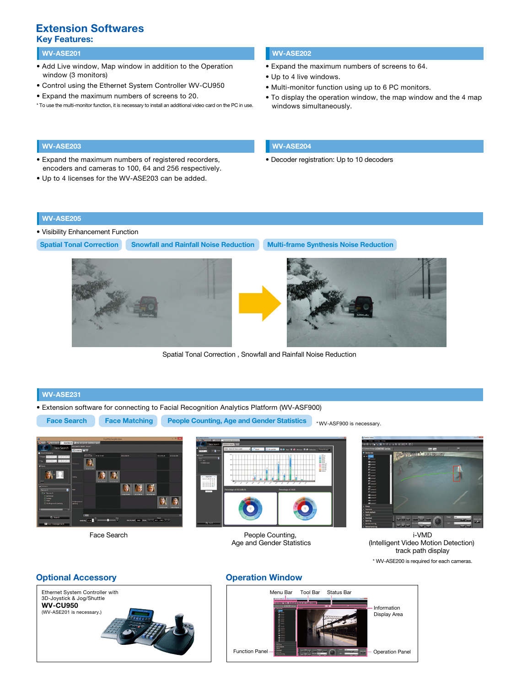### Key Features: Extension Softwares

#### ່ WV-ASE201 ພາສາສະ ແລະ ສະຫະລັດ ແລະ ສະຫະລັດ ແລະ ສະຫະລັດ ແລະ ສະຫະລັດ ແລະ ສະຫະລັດ ແລະ ສະຫະລັດ ແລະ ສະຫະລັດ ແລະ ສະ<br>ພາສາສະ ແລະ ສະຫະລັດ ແລະ ສະຫະລັດ ແລະ ສະຫະລັດ ແລະ ສະຫະລັດ ແລະ ສະຫະລັດ ແລະ ສະຫະລັດ ແລະ ສະຫະລັດ ແລະ ສະຫະລັດ ແລະ ສະ

- Add Live window, Map window in addition to the Operation window (3 monitors)
- Control using the Ethernet System Controller WV-CU950
- Expand the maximum numbers of screens to 20.
- \* To use the multi-monitor function, it is necessary to install an additional video card on the PC in use.

- Expand the maximum numbers of screens to 64.
- Up to 4 live windows.
- Multi-monitor function using up to 6 PC monitors.
- To display the operation window, the map window and the 4 map windows simultaneously.

- Expand the maximum numbers of registered recorders, encoders and cameras to 100, 64 and 256 respectively.
- Up to 4 licenses for the WV-ASE203 can be added.

#### WV-ASE203 WV-ASE204

• Decoder registration: Up to 10 decoders

#### WV-ASE205

- Visibility Enhancement Function
- Spatial Tonal Correction Snowfall and Rainfall Noise Reduction Multi-frame Synthesis Noise Reduction





\* WV-ASF900 is necessary.

Spatial Tonal Correction , Snowfall and Rainfall Noise Reduction

### WV-ASE231

• Extension software for connecting to Facial Recognition Analytics Platform (WV-ASF900)

Face Search Face Matching People Counting, Age and Gender Statistics





Face Search **People Counting,** Age and Gender Statistics



i-VMD (Intelligent Video Motion Detection) track path display \* WV-ASE200 is required for each cameras.

#### Optional Accessory



#### Operation Window

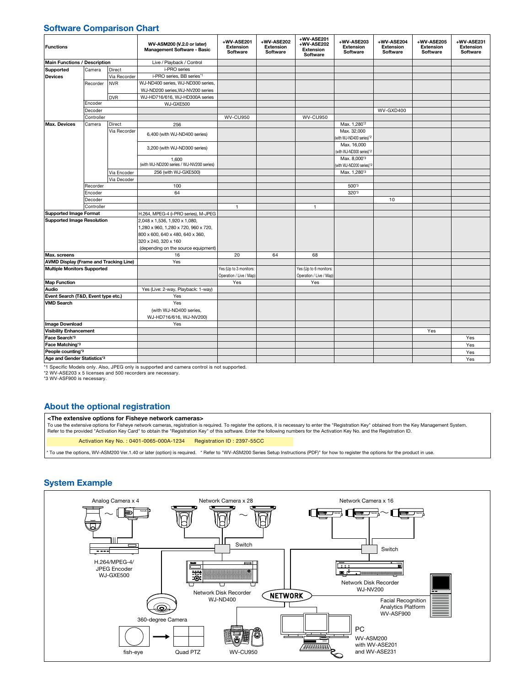#### Software Comparison Chart

| <b>Functions</b>                              |            |              | WV-ASM200 (V.2.0 or later)<br><b>Management Software - Basic</b> | +WV-ASE201<br><b>Extension</b><br><b>Software</b> | +WV-ASE202<br><b>Extension</b><br>Software | +WV-ASE201<br>+WV-ASE202<br><b>Extension</b><br>Software | +WV-ASE203<br><b>Extension</b><br>Software          | +WV-ASE204<br><b>Extension</b><br>Software | +WV-ASE205<br><b>Extension</b><br>Software | +WV-ASE231<br><b>Extension</b><br>Software |
|-----------------------------------------------|------------|--------------|------------------------------------------------------------------|---------------------------------------------------|--------------------------------------------|----------------------------------------------------------|-----------------------------------------------------|--------------------------------------------|--------------------------------------------|--------------------------------------------|
| <b>Main Functions / Description</b>           |            |              | Live / Playback / Control                                        |                                                   |                                            |                                                          |                                                     |                                            |                                            |                                            |
| Supported<br><b>Devices</b>                   | Camera     | Direct       | i-PRO series                                                     |                                                   |                                            |                                                          |                                                     |                                            |                                            |                                            |
|                                               |            | Via Recorder | i-PRO series, BB series*1                                        |                                                   |                                            |                                                          |                                                     |                                            |                                            |                                            |
|                                               | Recorder   | <b>NVR</b>   | WJ-ND400 series, WJ-ND300 series,                                |                                                   |                                            |                                                          |                                                     |                                            |                                            |                                            |
|                                               |            |              | WJ-ND200 series.WJ-NV200 series                                  |                                                   |                                            |                                                          |                                                     |                                            |                                            |                                            |
|                                               |            | <b>DVR</b>   | WJ-HD716/616, WJ-HD300A series                                   |                                                   |                                            |                                                          |                                                     |                                            |                                            |                                            |
|                                               | Encoder    |              | WJ-GXE500                                                        |                                                   |                                            |                                                          |                                                     |                                            |                                            |                                            |
|                                               | Decoder    |              |                                                                  |                                                   |                                            |                                                          |                                                     | WV-GXD400                                  |                                            |                                            |
|                                               | Controller |              |                                                                  | <b>WV-CU950</b>                                   |                                            | <b>WV-CU950</b>                                          |                                                     |                                            |                                            |                                            |
| <b>Max. Devices</b>                           | Camera     | Direct       | 256                                                              |                                                   |                                            |                                                          | Max. 1,280 <sup>*2</sup>                            |                                            |                                            |                                            |
|                                               |            | Via Recorder | 6,400 (with WJ-ND400 series)                                     |                                                   |                                            |                                                          | Max. 32,000<br>with WJ-ND400 series)*2              |                                            |                                            |                                            |
|                                               |            |              | 3,200 (with WJ-ND300 series)                                     |                                                   |                                            |                                                          | Max. 16,000<br>(with WJ-ND300 series)*2             |                                            |                                            |                                            |
|                                               |            |              | 1.600<br>(with WJ-ND200 series / WJ-NV200 series)                |                                                   |                                            |                                                          | Max. 8,000 <sup>*3</sup><br>with WJ-ND200 series)*2 |                                            |                                            |                                            |
|                                               |            | Via Encoder  | 256 (with WJ-GXE500)                                             |                                                   |                                            |                                                          | Max. 1,280 <sup>3</sup>                             |                                            |                                            |                                            |
|                                               |            | Via Decoder  |                                                                  |                                                   |                                            |                                                          |                                                     |                                            |                                            |                                            |
|                                               | Recorder   |              | 100                                                              |                                                   |                                            |                                                          | 500*3                                               |                                            |                                            |                                            |
|                                               | Encoder    |              | 64                                                               |                                                   |                                            |                                                          | 320*3                                               |                                            |                                            |                                            |
|                                               | Decoder    |              |                                                                  |                                                   |                                            |                                                          |                                                     | 10                                         |                                            |                                            |
|                                               | Controller |              |                                                                  | $\mathbf{1}$                                      |                                            | $\mathbf{1}$                                             |                                                     |                                            |                                            |                                            |
| <b>Supported Image Format</b>                 |            |              | H.264, MPEG-4 (i-PRO series), M-JPEG                             |                                                   |                                            |                                                          |                                                     |                                            |                                            |                                            |
| <b>Supported Image Resolution</b>             |            |              | 2,048 x 1,536, 1,920 x 1,080,                                    |                                                   |                                            |                                                          |                                                     |                                            |                                            |                                            |
|                                               |            |              | 1,280 x 960, 1,280 x 720, 960 x 720,                             |                                                   |                                            |                                                          |                                                     |                                            |                                            |                                            |
|                                               |            |              | 800 x 600, 640 x 480, 640 x 360,                                 |                                                   |                                            |                                                          |                                                     |                                            |                                            |                                            |
|                                               |            |              | 320 x 240, 320 x 160                                             |                                                   |                                            |                                                          |                                                     |                                            |                                            |                                            |
|                                               |            |              | (depending on the source equipment)                              |                                                   |                                            |                                                          |                                                     |                                            |                                            |                                            |
| Max. screens                                  |            |              | 16                                                               | 20                                                | 64                                         | 68                                                       |                                                     |                                            |                                            |                                            |
| <b>AVMD Display (Frame and Tracking Line)</b> |            |              | Yes                                                              |                                                   |                                            |                                                          |                                                     |                                            |                                            |                                            |
| <b>Multiple Monitors Supported</b>            |            |              |                                                                  | Yes (Up to 3 monitors:                            |                                            | Yes (Up to 6 monitors:                                   |                                                     |                                            |                                            |                                            |
|                                               |            |              |                                                                  | Operation / Live / Map)                           |                                            | Operation / Live / Map)                                  |                                                     |                                            |                                            |                                            |
| <b>Map Function</b>                           |            |              |                                                                  | Yes                                               |                                            | Yes                                                      |                                                     |                                            |                                            |                                            |
| Audio                                         |            |              | Yes (Live: 2-way, Playback: 1-way)                               |                                                   |                                            |                                                          |                                                     |                                            |                                            |                                            |
| Event Search (T&D, Event type etc.)           |            |              | Yes                                                              |                                                   |                                            |                                                          |                                                     |                                            |                                            |                                            |
| <b>VMD Search</b>                             |            |              | Yes                                                              |                                                   |                                            |                                                          |                                                     |                                            |                                            |                                            |
|                                               |            |              | (with WJ-ND400 series,                                           |                                                   |                                            |                                                          |                                                     |                                            |                                            |                                            |
|                                               |            |              | WJ-HD716/616, WJ-NV200)                                          |                                                   |                                            |                                                          |                                                     |                                            |                                            |                                            |
| Image Download                                |            |              | Yes                                                              |                                                   |                                            |                                                          |                                                     |                                            |                                            |                                            |
| <b>Visibility Enhancement</b>                 |            |              |                                                                  |                                                   |                                            |                                                          |                                                     |                                            | Yes                                        |                                            |
| Face Search*3                                 |            |              |                                                                  |                                                   |                                            |                                                          |                                                     |                                            |                                            | Yes                                        |
| Face Matching*3                               |            |              |                                                                  |                                                   |                                            |                                                          |                                                     |                                            |                                            | Yes                                        |
| People counting*3                             |            |              |                                                                  |                                                   |                                            |                                                          |                                                     |                                            |                                            | Yes                                        |
| Age and Gender Statistics*3                   |            |              |                                                                  |                                                   |                                            |                                                          |                                                     |                                            |                                            | Yes                                        |

\*1 Specific Models only. Also, JPEG only is supported and camera control is not supported.<br>\*2 WV-ASE203 x 5 licenses and 500 recorders are necessary.

\*3 WV-ASF900 is necessary.

#### About the optional registration

#### <The extensive options for Fisheye network cameras>

To use the extensive options for Fisheye network cameras, registration is required. To register the options, it is necessary to enter the "Registration Key" obtained from the Key Management System.<br>Refer to the provided "A

Activation Key No. : 0401-0065-000A-1234 Registration ID : 2397-55CC

\* To use the options, WV-ASM200 Ver.1.40 or later (option) is required. \* Refer to "WV-ASM200 Series Setup Instructions (PDF)" for how to register the options for the product in use.

#### System Example